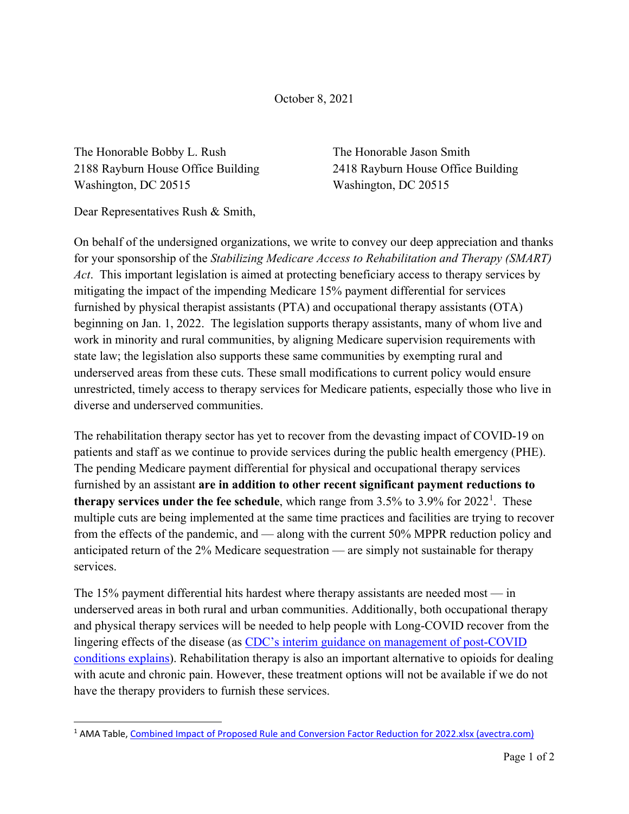October 8, 2021

The Honorable Bobby L. Rush The Honorable Jason Smith Washington, DC 20515 Washington, DC 20515

2188 Rayburn House Office Building 2418 Rayburn House Office Building

Dear Representatives Rush & Smith,

On behalf of the undersigned organizations, we write to convey our deep appreciation and thanks for your sponsorship of the *Stabilizing Medicare Access to Rehabilitation and Therapy (SMART) Act*. This important legislation is aimed at protecting beneficiary access to therapy services by mitigating the impact of the impending Medicare 15% payment differential for services furnished by physical therapist assistants (PTA) and occupational therapy assistants (OTA) beginning on Jan. 1, 2022. The legislation supports therapy assistants, many of whom live and work in minority and rural communities, by aligning Medicare supervision requirements with state law; the legislation also supports these same communities by exempting rural and underserved areas from these cuts. These small modifications to current policy would ensure unrestricted, timely access to therapy services for Medicare patients, especially those who live in diverse and underserved communities.

The rehabilitation therapy sector has yet to recover from the devasting impact of COVID-19 on patients and staff as we continue to provide services during the public health emergency (PHE). The pending Medicare payment differential for physical and occupational therapy services furnished by an assistant **are in addition to other recent significant payment reductions to therapy services under the fee schedule**, which range from 3.5% to 3.9% for 2022<sup>[1](#page-0-0)</sup>. These multiple cuts are being implemented at the same time practices and facilities are trying to recover from the effects of the pandemic, and — along with the current 50% MPPR reduction policy and anticipated return of the 2% Medicare sequestration — are simply not sustainable for therapy services.

The 15% payment differential hits hardest where therapy assistants are needed most — in underserved areas in both rural and urban communities. Additionally, both occupational therapy and physical therapy services will be needed to help people with Long-COVID recover from the lingering effects of the disease (as CDC's interim guidance on management of post-COVID [conditions explains\)](https://www.cdc.gov/coronavirus/2019-ncov/hcp/clinical-care/post-covid-management.html). Rehabilitation therapy is also an important alternative to opioids for dealing with acute and chronic pain. However, these treatment options will not be available if we do not have the therapy providers to furnish these services.

<span id="page-0-0"></span><sup>1</sup> AMA Table, [Combined Impact of Proposed Rule and Conversion Factor Reduction for 2022.xlsx \(avectra.com\)](https://netforum.avectra.com/public/temp/ClientImages/NASL/d6f42a3e-2856-4995-8225-eeeaa99c649e.pdf)